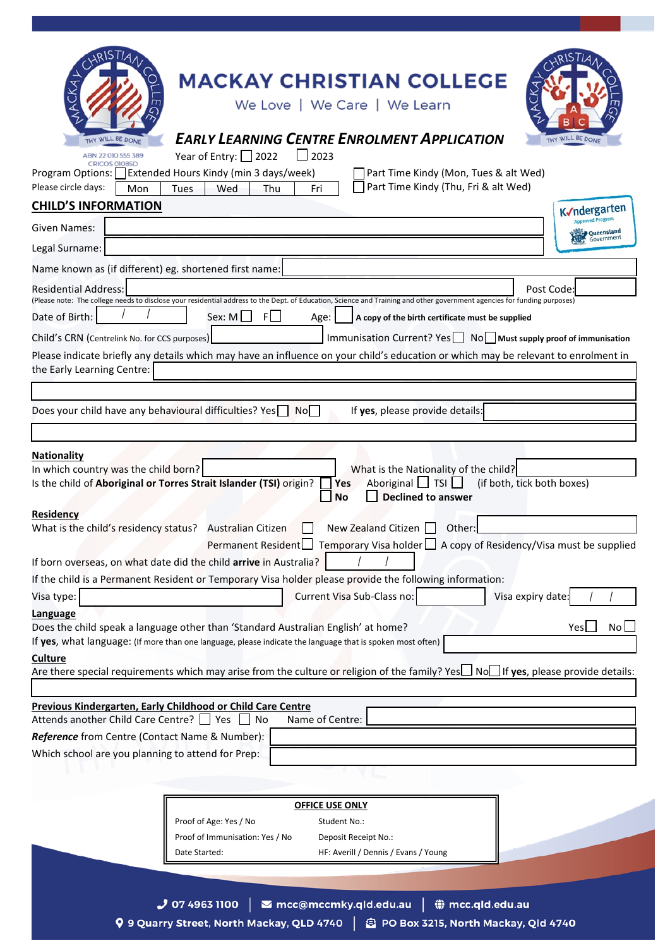| <b>MACKAY CHRISTIAN COLLEGE</b>                                                                                                                                                                                                                                                                              |
|--------------------------------------------------------------------------------------------------------------------------------------------------------------------------------------------------------------------------------------------------------------------------------------------------------------|
| We Love   We Care   We Learn                                                                                                                                                                                                                                                                                 |
|                                                                                                                                                                                                                                                                                                              |
| <b>EARLY LEARNING CENTRE ENROLMENT APPLICATION</b><br>WILL BE DONE<br>WILL BE DONE<br><b>THY</b>                                                                                                                                                                                                             |
| Year of Entry: 2022<br>$\Box$ 2023<br>ABN 22 010 555 389<br>CRICOS 01085D                                                                                                                                                                                                                                    |
| Extended Hours Kindy (min 3 days/week)<br>Part Time Kindy (Mon, Tues & alt Wed)<br>Program Options:<br>Part Time Kindy (Thu, Fri & alt Wed)<br>Please circle days:<br>Mon<br>Wed<br>Thu<br>Tues<br>Fri                                                                                                       |
| <b>CHILD'S INFORMATION</b><br>K√ndergarten                                                                                                                                                                                                                                                                   |
| <b>Approved Program</b><br>Given Names:                                                                                                                                                                                                                                                                      |
| Queensland<br>Government<br>Legal Surname:                                                                                                                                                                                                                                                                   |
| Name known as (if different) eg. shortened first name:                                                                                                                                                                                                                                                       |
| <b>Residential Address:</b><br>Post Code:                                                                                                                                                                                                                                                                    |
| (Please note: The college needs to disclose your residential address to the Dept. of Education, Science and Training and other government agencies for funding purposes)                                                                                                                                     |
| Sex: $M \Box$<br>F<br>Date of Birth:<br>Age:<br>A copy of the birth certificate must be supplied                                                                                                                                                                                                             |
| Immunisation Current? Yes   No   Must supply proof of immunisation<br>Child's CRN (Centrelink No. for CCS purposes)                                                                                                                                                                                          |
| Please indicate briefly any details which may have an influence on your child's education or which may be relevant to enrolment in<br>the Early Learning Centre:                                                                                                                                             |
|                                                                                                                                                                                                                                                                                                              |
| Does your child have any behavioural difficulties? Yes No<br>If yes, please provide details:                                                                                                                                                                                                                 |
|                                                                                                                                                                                                                                                                                                              |
| <b>Nationality</b><br>In which country was the child born?<br>What is the Nationality of the child?<br>Aboriginal $\Box$ TSI $\Box$<br>(if both, tick both boxes)<br>Is the child of Aboriginal or Torres Strait Islander (TSI) origin?<br>Yes<br><b>Declined to answer</b><br><b>No</b><br><b>Residency</b> |
| What is the child's residency status? Australian Citizen<br>New Zealand Citizen $\Box$<br>Other:<br>Permanent Resident Temporary Visa holder A copy of Residency/Visa must be supplied                                                                                                                       |
| If born overseas, on what date did the child arrive in Australia?                                                                                                                                                                                                                                            |
| If the child is a Permanent Resident or Temporary Visa holder please provide the following information:                                                                                                                                                                                                      |
| Current Visa Sub-Class no:<br>Visa expiry date<br>Visa type:<br>Language                                                                                                                                                                                                                                     |
| Does the child speak a language other than 'Standard Australian English' at home?<br>Yes<br>No<br>If yes, what language: (If more than one language, please indicate the language that is spoken most often)                                                                                                 |
| <b>Culture</b>                                                                                                                                                                                                                                                                                               |
| Are there special requirements which may arise from the culture or religion of the family? Yes $\Box$ No $\Box$ If yes, please provide details:                                                                                                                                                              |
| Previous Kindergarten, Early Childhood or Child Care Centre                                                                                                                                                                                                                                                  |
| Attends another Child Care Centre?     Yes  <br>Name of Centre:<br>No                                                                                                                                                                                                                                        |
| Reference from Centre (Contact Name & Number):                                                                                                                                                                                                                                                               |
| Which school are you planning to attend for Prep:                                                                                                                                                                                                                                                            |
|                                                                                                                                                                                                                                                                                                              |
| <b>OFFICE USE ONLY</b>                                                                                                                                                                                                                                                                                       |
| Proof of Age: Yes / No<br>Student No.:                                                                                                                                                                                                                                                                       |
| Proof of Immunisation: Yes / No<br>Deposit Receipt No.:                                                                                                                                                                                                                                                      |
| HF: Averill / Dennis / Evans / Young<br>Date Started:                                                                                                                                                                                                                                                        |
|                                                                                                                                                                                                                                                                                                              |
| $J$ 07 4963 1100<br>mcc@mccmky.qld.edu.au<br><b>● mcc.qld.edu.au</b>                                                                                                                                                                                                                                         |
| 9 9 Quarry Street, North Mackay, QLD 4740<br>PO Box 3215, North Mackay, Qld 4740                                                                                                                                                                                                                             |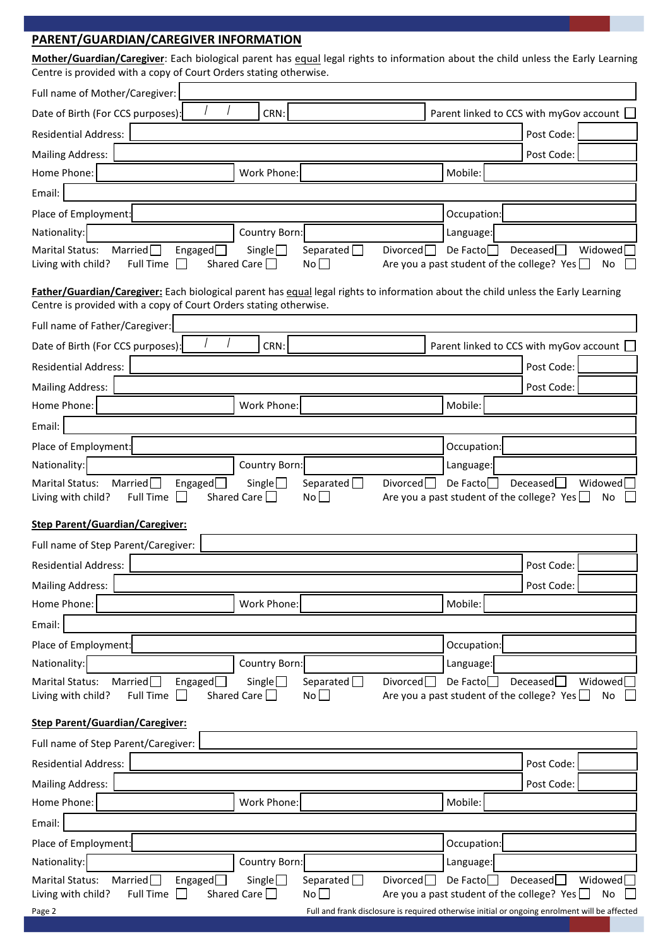**PARENT/GUARDIAN/CAREGIVER INFORMATION Mother/Guardian/Caregiver**: Each biological parent has equal legal rights to information about the child unless the Early Learning Centre is provided with a copy of Court Orders stating otherwise. Full name of Mother/Caregiver: Date of Birth (For CCS purposes):  $\left\{\begin{array}{ccc} \begin{array}{ccc} \end{array} & \begin{array}{ccc} \end{array}\right. & \begin{array}{ccc} \end{array} & \begin{array}{ccc} \end{array} & \begin{array}{ccc} \end{array} & \begin{array}{ccc} \end{array} & \begin{array}{ccc} \end{array} & \begin{array}{ccc} \end{array} & \begin{array}{ccc} \end{array} & \begin{array}{ccc} \end{array} & \begin{array}{ccc} \end{array} & \begin{array}{ccc} \end{array} & \begin{array}{ccc} \end{array} & \begin{array}{$ Residential Address: Post Code: Post Code: Post Code: Post Code: Post Code: Post Code: Post Code: Post Code: Post Code: Post Code: Post Code: Post Code: Post Code: Post Code: Post Code: Post Code: Post Code: Post Code: Pos Mailing Address: Post Code: Post Code: Post Code: Post Code: Post Code: Post Code: Post Code: Post Code: Post Code: Post Code: Post Code: Post Code: Post Code: Post Code: Post Code: Post Code: Post Code: Post Code: Post Co Home Phone: Nobile: Normal Mobile: Normal Mobile: Normal Mobile: Normal Mobile: Normal Mobile: Normal Mobile: N Email: Place of Employment: **Occupation**: **Occupation** Nationality: Nationality: Nationality: Example 2011 12:30 Language: Language: Nationality: Language: Marital Status: Married Engaged Single Separated Divorced De Facto Deceased Widowed Living with child? Full Time  $\Box$  Shared Care  $\Box$  No  $\Box$  Are you a past student of the college? Yes  $\Box$  No **Father/Guardian/Caregiver:** Each biological parent has equal legal rights to information about the child unless the Early Learning Centre is provided with a copy of Court Orders stating otherwise. Full name of Father/Caregiver: Date of Birth (For CCS purposes):  $\begin{vmatrix} 1 & 1 \\ 1 & 1 \end{vmatrix}$  CRN: Parent linked to CCS with myGov account  $\Box$ Residential Address: Post Code: Post Code: Post Code: Post Code: Post Code: Post Code: Post Code: Post Code: Post Code: Post Code: Post Code: Post Code: Post Code: Post Code: Post Code: Post Code: Post Code: Post Code: Pos Mailing Address: Post Code: Post Code: Post Code: Home Phone: Nobile: North Mobile: North Mobile: Mobile: Mobile: Mobile: Mobile: Mobile: Mobile: Mobile: Mobile: Mobile:  $\vert$  Mobile:  $\vert$ Email: Place of Employment: **Occupation:** Occupation: **Occupation:** Nationality: Nationality: Nationality: Example 2011 12:31 Language: Language: Nationality: Language: Marital Status: Married Engaged Single Separated Divorced De Facto Beceased Widowed Living with child? Full Time  $\Box$  Shared Care  $\Box$  No  $\Box$  Are you a past student of the college? Yes  $\Box$  No  $\Box$ **Step Parent/Guardian/Caregiver:** Full name of Step Parent/Caregiver: Residential Address: Post Code: Post Code: Post Code: Post Code: Post Code: Post Code: Post Code: Post Code: Post Code: Post Code: Post Code: Post Code: Post Code: Post Code: Post Code: Post Code: Post Code: Post Code: Pos Mailing Address: Post Code: Post Code: Post Code: Post Code: Post Code: Post Code: Post Code: Post Code: Post Code: Post Code: Post Code: Post Code: Post Code: Post Code: Post Code: Post Code: Post Code: Post Code: Post Co Home Phone: Nobile: North Mobile: North Mobile: Mobile: Mobile: Mobile: Mobile: Mobile: Mobile: Mobile: Mobile: Mobile:  $\vert$  Mobile:  $\vert$ Email: Place of Employment: **Occupation:** Occupation: **Occupation:** Occupation: Nationality: Nationality: Nationality: Exercise Language: Language: Language: Language: Language: Marital Status: Married Engaged Single Separated Divorced De Facto Deceased Widowed Living with child? Full Time  $\Box$  Shared Care  $\Box$  No  $\Box$  Are you a past student of the college? Yes  $\Box$  No **Step Parent/Guardian/Caregiver:** Full name of Step Parent/Caregiver: Residential Address: Post Code: Post Code: Post Code: Post Code: Post Code: Post Code: Post Code: Post Code: Post Code: Post Code: Post Code: Post Code: Post Code: Post Code: Post Code: Post Code: Post Code: Post Code: Pos Mailing Address: Post Code: Post Code: Post Code: Post Code: Post Code: Post Code: Post Code: Post Code: Post Code: Home Phone: Notice and Mobile: Normal Mobile: Normal Mobile: Normal Mobile: Normal Mobile: Normal Mobile: Normal Mobile: Normal Mobile: Normal Mobile: Normal Mobile: Normal Mobile: Normal Mobile: Normal Mobile: Normal Mobi Email: Place of Employment: **Occupation:** Occupation: **Occupation:** Occupation: Nationality: Nationality: Nationality: Example 2011 12 | Country Born: Nationality: Nationality: Nationality: N / / / /

Marital Status: Married Engaged Single Separated Divorced De Facto Deceased Widowed Living with child? Full Time  $\Box$  Shared Care  $\Box$  No  $\Box$  Are you a past student of the college? Yes  $\Box$  No

| Page 2 | Full and frank disclosure is required otherwise initial or ongoing enrolment will be affected |
|--------|-----------------------------------------------------------------------------------------------|
|        |                                                                                               |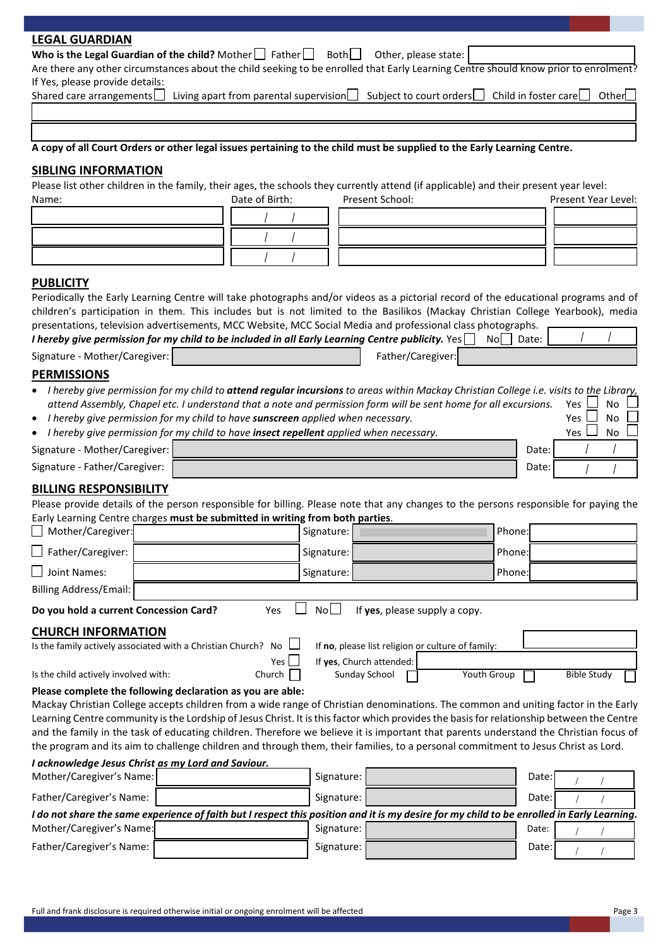| <b>LEGAL GUARDIAN</b>                                                                                                                 |                |                                                                                                                 |                                                                                                                                            |
|---------------------------------------------------------------------------------------------------------------------------------------|----------------|-----------------------------------------------------------------------------------------------------------------|--------------------------------------------------------------------------------------------------------------------------------------------|
| Who is the Legal Guardian of the child? Mother $\Box$ Father $\Box$ Both $\Box$                                                       |                | Other, please state:                                                                                            |                                                                                                                                            |
|                                                                                                                                       |                |                                                                                                                 | Are there any other circumstances about the child seeking to be enrolled that Early Learning Centre should know prior to enrolment?        |
| If Yes, please provide details:<br>Shared care arrangements                                                                           |                | Living apart from parental supervision $\Box$ Subject to court orders $\Box$                                    | Child in foster care<br>Other_                                                                                                             |
|                                                                                                                                       |                |                                                                                                                 |                                                                                                                                            |
|                                                                                                                                       |                |                                                                                                                 |                                                                                                                                            |
|                                                                                                                                       |                |                                                                                                                 |                                                                                                                                            |
| A copy of all Court Orders or other legal issues pertaining to the child must be supplied to the Early Learning Centre.               |                |                                                                                                                 |                                                                                                                                            |
| <b>SIBLING INFORMATION</b>                                                                                                            |                |                                                                                                                 |                                                                                                                                            |
| Please list other children in the family, their ages, the schools they currently attend (if applicable) and their present year level: |                |                                                                                                                 |                                                                                                                                            |
| Name:                                                                                                                                 | Date of Birth: | Present School:                                                                                                 | Present Year Level:                                                                                                                        |
|                                                                                                                                       |                |                                                                                                                 |                                                                                                                                            |
|                                                                                                                                       |                |                                                                                                                 |                                                                                                                                            |
|                                                                                                                                       |                |                                                                                                                 |                                                                                                                                            |
|                                                                                                                                       |                |                                                                                                                 |                                                                                                                                            |
| <b>PUBLICITY</b>                                                                                                                      |                |                                                                                                                 |                                                                                                                                            |
|                                                                                                                                       |                |                                                                                                                 | Periodically the Early Learning Centre will take photographs and/or videos as a pictorial record of the educational programs and of        |
| presentations, television advertisements, MCC Website, MCC Social Media and professional class photographs.                           |                |                                                                                                                 | children's participation in them. This includes but is not limited to the Basilikos (Mackay Christian College Yearbook), media             |
| I hereby give permission for my child to be included in all Early Learning Centre publicity. Yes                                      |                |                                                                                                                 | $\text{No}$   Date:                                                                                                                        |
| Signature - Mother/Caregiver:                                                                                                         |                | Father/Caregiver:                                                                                               |                                                                                                                                            |
| <b>PERMISSIONS</b>                                                                                                                    |                |                                                                                                                 |                                                                                                                                            |
|                                                                                                                                       |                |                                                                                                                 | I hereby give permission for my child to attend regular incursions to areas within Mackay Christian College i.e. visits to the Library,    |
|                                                                                                                                       |                | attend Assembly, Chapel etc. I understand that a note and permission form will be sent home for all excursions. | Yes<br>No                                                                                                                                  |
| I hereby give permission for my child to have sunscreen applied when necessary.                                                       |                |                                                                                                                 | Yes l<br><b>No</b>                                                                                                                         |
| I hereby give permission for my child to have insect repellent applied when necessary.                                                |                |                                                                                                                 | No<br>Yes l                                                                                                                                |
| Signature - Mother/Caregiver:                                                                                                         |                |                                                                                                                 | Date:                                                                                                                                      |
| Signature - Father/Caregiver:                                                                                                         |                |                                                                                                                 | Date:                                                                                                                                      |
| <b>BILLING RESPONSIBILITY</b>                                                                                                         |                |                                                                                                                 |                                                                                                                                            |
|                                                                                                                                       |                |                                                                                                                 | Please provide details of the person responsible for billing. Please note that any changes to the persons responsible for paying the       |
| Early Learning Centre charges must be submitted in writing from both parties.                                                         |                |                                                                                                                 |                                                                                                                                            |
| Mother/Caregiver:                                                                                                                     |                | Signature:                                                                                                      | Phone:                                                                                                                                     |
| Father/Caregiver:                                                                                                                     |                | Signature:                                                                                                      | Phone:                                                                                                                                     |
| Joint Names:                                                                                                                          |                | Signature:                                                                                                      | Phone:                                                                                                                                     |
| <b>Billing Address/Email:</b>                                                                                                         |                |                                                                                                                 |                                                                                                                                            |
|                                                                                                                                       |                |                                                                                                                 |                                                                                                                                            |
| Do you hold a current Concession Card?                                                                                                | Yes            | No<br>If yes, please supply a copy.                                                                             |                                                                                                                                            |
| <b>CHURCH INFORMATION</b>                                                                                                             |                |                                                                                                                 |                                                                                                                                            |
| Is the family actively associated with a Christian Church? No $\Box$                                                                  |                | If no, please list religion or culture of family:                                                               |                                                                                                                                            |
|                                                                                                                                       | Yes            | If yes, Church attended:                                                                                        |                                                                                                                                            |
| Is the child actively involved with:                                                                                                  | Church         | Sunday School                                                                                                   | <b>Youth Group</b><br><b>Bible Study</b>                                                                                                   |
| Please complete the following declaration as you are able:                                                                            |                |                                                                                                                 | Mackay Christian College accepts children from a wide range of Christian denominations. The common and uniting factor in the Early         |
|                                                                                                                                       |                |                                                                                                                 | Learning Centre community is the Lordship of Jesus Christ. It is this factor which provides the basis for relationship between the Centre  |
|                                                                                                                                       |                |                                                                                                                 | and the family in the task of educating children. Therefore we believe it is important that parents understand the Christian focus of      |
|                                                                                                                                       |                |                                                                                                                 | the program and its aim to challenge children and through them, their families, to a personal commitment to Jesus Christ as Lord.          |
| I acknowledge Jesus Christ as my Lord and Saviour.                                                                                    |                |                                                                                                                 |                                                                                                                                            |
| Mother/Caregiver's Name:                                                                                                              |                | Signature:                                                                                                      | Date:                                                                                                                                      |
| Father/Caregiver's Name:                                                                                                              |                | Signature:                                                                                                      | Date:                                                                                                                                      |
|                                                                                                                                       |                |                                                                                                                 | I do not share the same experience of faith but I respect this position and it is my desire for my child to be enrolled in Early Learning. |
| Mother/Caregiver's Name:                                                                                                              |                | Signature:                                                                                                      | Date:                                                                                                                                      |
| Father/Caregiver's Name:                                                                                                              |                | Signature:                                                                                                      | Date:                                                                                                                                      |
|                                                                                                                                       |                |                                                                                                                 |                                                                                                                                            |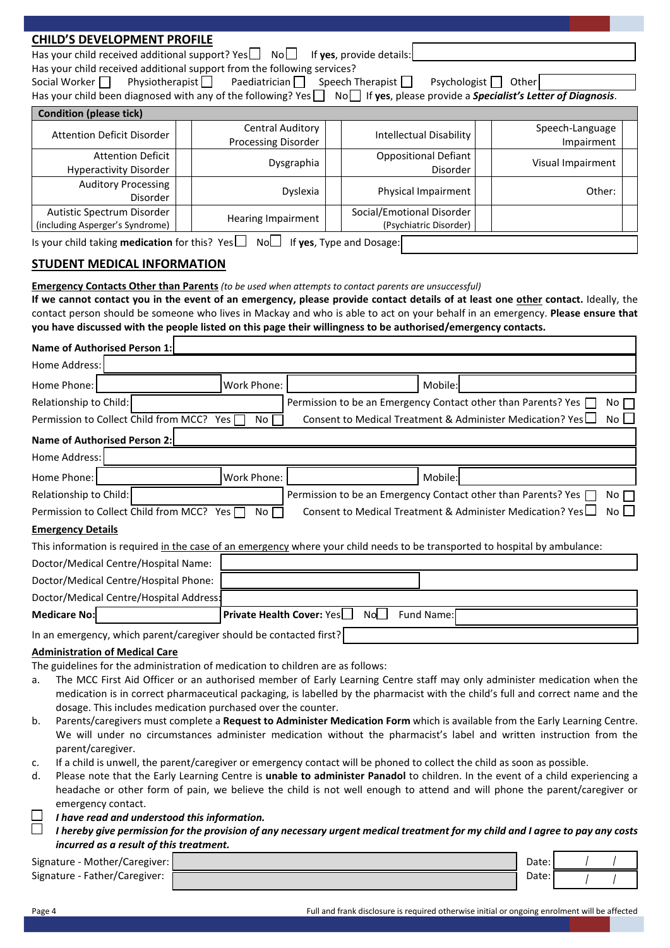| <b>CHILD'S DEVELOPMENT PROFILE</b>                                                                                                                                                                                                                         |  |                           |            |  |                                                               |  |                                                                                                                                 |
|------------------------------------------------------------------------------------------------------------------------------------------------------------------------------------------------------------------------------------------------------------|--|---------------------------|------------|--|---------------------------------------------------------------|--|---------------------------------------------------------------------------------------------------------------------------------|
| Has your child received additional support? Yes $\Box$ No $\Box$                                                                                                                                                                                           |  |                           |            |  | If yes, provide details:                                      |  |                                                                                                                                 |
| Has your child received additional support from the following services?                                                                                                                                                                                    |  |                           |            |  |                                                               |  |                                                                                                                                 |
| Physiotherapist<br>Social Worker                                                                                                                                                                                                                           |  | Paediatrician $\Box$      |            |  | Speech Therapist $\Box$                                       |  | Psychologist   Other                                                                                                            |
| Has your child been diagnosed with any of the following? Yes NoD If yes, please provide a Specialist's Letter of Diagnosis.                                                                                                                                |  |                           |            |  |                                                               |  |                                                                                                                                 |
| <b>Condition (please tick)</b>                                                                                                                                                                                                                             |  |                           |            |  |                                                               |  |                                                                                                                                 |
| <b>Attention Deficit Disorder</b>                                                                                                                                                                                                                          |  | <b>Central Auditory</b>   |            |  | <b>Intellectual Disability</b>                                |  | Speech-Language                                                                                                                 |
| <b>Attention Deficit</b>                                                                                                                                                                                                                                   |  | Processing Disorder       |            |  | <b>Oppositional Defiant</b>                                   |  | Impairment                                                                                                                      |
| <b>Hyperactivity Disorder</b>                                                                                                                                                                                                                              |  |                           | Dysgraphia |  | Disorder                                                      |  | Visual Impairment                                                                                                               |
| <b>Auditory Processing</b>                                                                                                                                                                                                                                 |  |                           |            |  |                                                               |  |                                                                                                                                 |
| Disorder                                                                                                                                                                                                                                                   |  |                           | Dyslexia   |  | Physical Impairment                                           |  | Other:                                                                                                                          |
| Autistic Spectrum Disorder<br>(including Asperger's Syndrome)                                                                                                                                                                                              |  | Hearing Impairment        |            |  | Social/Emotional Disorder<br>(Psychiatric Disorder)           |  |                                                                                                                                 |
|                                                                                                                                                                                                                                                            |  |                           |            |  |                                                               |  |                                                                                                                                 |
| Is your child taking <b>medication</b> for this? Yes $\Box$                                                                                                                                                                                                |  | No <sub>1</sub>           |            |  | If yes, Type and Dosage:                                      |  |                                                                                                                                 |
| <b>STUDENT MEDICAL INFORMATION</b>                                                                                                                                                                                                                         |  |                           |            |  |                                                               |  |                                                                                                                                 |
| Emergency Contacts Other than Parents (to be used when attempts to contact parents are unsuccessful)                                                                                                                                                       |  |                           |            |  |                                                               |  |                                                                                                                                 |
| If we cannot contact you in the event of an emergency, please provide contact details of at least one other contact. Ideally, the                                                                                                                          |  |                           |            |  |                                                               |  |                                                                                                                                 |
| contact person should be someone who lives in Mackay and who is able to act on your behalf in an emergency. Please ensure that                                                                                                                             |  |                           |            |  |                                                               |  |                                                                                                                                 |
| you have discussed with the people listed on this page their willingness to be authorised/emergency contacts.                                                                                                                                              |  |                           |            |  |                                                               |  |                                                                                                                                 |
| <b>Name of Authorised Person 1:</b>                                                                                                                                                                                                                        |  |                           |            |  |                                                               |  |                                                                                                                                 |
| Home Address:                                                                                                                                                                                                                                              |  |                           |            |  |                                                               |  |                                                                                                                                 |
| Home Phone:                                                                                                                                                                                                                                                |  | Work Phone:               |            |  | Mobile:                                                       |  |                                                                                                                                 |
| Relationship to Child:<br>Permission to be an Emergency Contact other than Parents? Yes<br>$No \ \overline{\phantom{b}}$                                                                                                                                   |  |                           |            |  |                                                               |  |                                                                                                                                 |
| Permission to Collect Child from MCC? Yes                                                                                                                                                                                                                  |  | No                        |            |  | Consent to Medical Treatment & Administer Medication? Yes     |  | No I                                                                                                                            |
|                                                                                                                                                                                                                                                            |  |                           |            |  |                                                               |  |                                                                                                                                 |
| <b>Name of Authorised Person 2:</b>                                                                                                                                                                                                                        |  |                           |            |  |                                                               |  |                                                                                                                                 |
| Home Address:                                                                                                                                                                                                                                              |  |                           |            |  |                                                               |  |                                                                                                                                 |
| Home Phone:                                                                                                                                                                                                                                                |  | Work Phone:               |            |  | Mobile:                                                       |  |                                                                                                                                 |
| Relationship to Child:                                                                                                                                                                                                                                     |  |                           |            |  | Permission to be an Emergency Contact other than Parents? Yes |  | No                                                                                                                              |
| Permission to Collect Child from MCC? Yes                                                                                                                                                                                                                  |  | No                        |            |  | Consent to Medical Treatment & Administer Medication? Yes     |  | $No$ $\Box$                                                                                                                     |
| <b>Emergency Details</b>                                                                                                                                                                                                                                   |  |                           |            |  |                                                               |  |                                                                                                                                 |
| This information is required in the case of an emergency where your child needs to be transported to hospital by ambulance:                                                                                                                                |  |                           |            |  |                                                               |  |                                                                                                                                 |
| Doctor/Medical Centre/Hospital Name:                                                                                                                                                                                                                       |  |                           |            |  |                                                               |  |                                                                                                                                 |
| Doctor/Medical Centre/Hospital Phone:                                                                                                                                                                                                                      |  |                           |            |  |                                                               |  |                                                                                                                                 |
| Doctor/Medical Centre/Hospital Address:                                                                                                                                                                                                                    |  |                           |            |  |                                                               |  |                                                                                                                                 |
| <b>Medicare No:</b>                                                                                                                                                                                                                                        |  | Private Health Cover: Yes |            |  | No<br>Fund Name:                                              |  |                                                                                                                                 |
| In an emergency, which parent/caregiver should be contacted first?                                                                                                                                                                                         |  |                           |            |  |                                                               |  |                                                                                                                                 |
| <b>Administration of Medical Care</b>                                                                                                                                                                                                                      |  |                           |            |  |                                                               |  |                                                                                                                                 |
| The guidelines for the administration of medication to children are as follows:                                                                                                                                                                            |  |                           |            |  |                                                               |  |                                                                                                                                 |
| a.                                                                                                                                                                                                                                                         |  |                           |            |  |                                                               |  | The MCC First Aid Officer or an authorised member of Early Learning Centre staff may only administer medication when the        |
|                                                                                                                                                                                                                                                            |  |                           |            |  |                                                               |  | medication is in correct pharmaceutical packaging, is labelled by the pharmacist with the child's full and correct name and the |
| dosage. This includes medication purchased over the counter.                                                                                                                                                                                               |  |                           |            |  |                                                               |  |                                                                                                                                 |
| b.                                                                                                                                                                                                                                                         |  |                           |            |  |                                                               |  | Parents/caregivers must complete a Request to Administer Medication Form which is available from the Early Learning Centre.     |
|                                                                                                                                                                                                                                                            |  |                           |            |  |                                                               |  | We will under no circumstances administer medication without the pharmacist's label and written instruction from the            |
| parent/caregiver.<br>If a child is unwell, the parent/caregiver or emergency contact will be phoned to collect the child as soon as possible.<br>c.                                                                                                        |  |                           |            |  |                                                               |  |                                                                                                                                 |
| d.                                                                                                                                                                                                                                                         |  |                           |            |  |                                                               |  |                                                                                                                                 |
| Please note that the Early Learning Centre is unable to administer Panadol to children. In the event of a child experiencing a<br>headache or other form of pain, we believe the child is not well enough to attend and will phone the parent/caregiver or |  |                           |            |  |                                                               |  |                                                                                                                                 |
| emergency contact.                                                                                                                                                                                                                                         |  |                           |            |  |                                                               |  |                                                                                                                                 |
| I have read and understood this information.                                                                                                                                                                                                               |  |                           |            |  |                                                               |  |                                                                                                                                 |
|                                                                                                                                                                                                                                                            |  |                           |            |  |                                                               |  | I hereby give permission for the provision of any necessary urgent medical treatment for my child and I agree to pay any costs  |

- *I have read and understood this information.*
- *I hereby give permission for the provision of any necessary urgent medical treatment for my child and I agree to pay any costs incurred as a result of this treatment.*

| Signature - Mother/Caregiver: | Date: |  |  |
|-------------------------------|-------|--|--|
| Signature - Father/Caregiver: | Date: |  |  |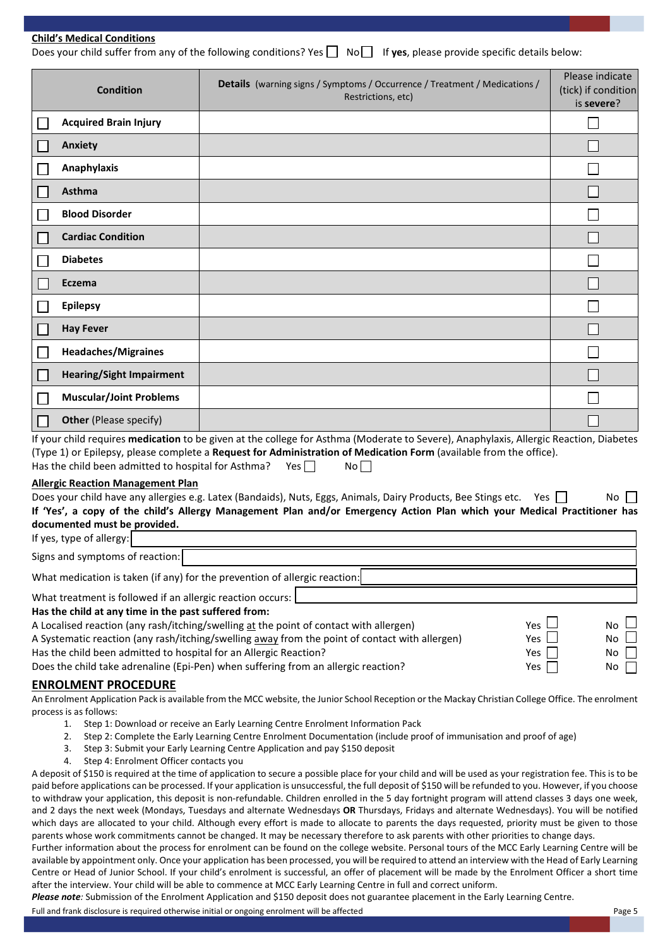Does your child suffer from any of the following conditions? Yes  $\Box$  No  $\Box$  If **yes**, please provide specific details below:

| <b>Condition</b>                                                                                                                                                                        | Details (warning signs / Symptoms / Occurrence / Treatment / Medications /<br>Restrictions, etc)                                                                                                                                                                                                                  | Please indicate<br>(tick) if condition<br>is severe? |
|-----------------------------------------------------------------------------------------------------------------------------------------------------------------------------------------|-------------------------------------------------------------------------------------------------------------------------------------------------------------------------------------------------------------------------------------------------------------------------------------------------------------------|------------------------------------------------------|
| <b>Acquired Brain Injury</b>                                                                                                                                                            |                                                                                                                                                                                                                                                                                                                   |                                                      |
| <b>Anxiety</b>                                                                                                                                                                          |                                                                                                                                                                                                                                                                                                                   |                                                      |
| Anaphylaxis                                                                                                                                                                             |                                                                                                                                                                                                                                                                                                                   |                                                      |
| Asthma                                                                                                                                                                                  |                                                                                                                                                                                                                                                                                                                   |                                                      |
| <b>Blood Disorder</b>                                                                                                                                                                   |                                                                                                                                                                                                                                                                                                                   |                                                      |
| <b>Cardiac Condition</b>                                                                                                                                                                |                                                                                                                                                                                                                                                                                                                   |                                                      |
| <b>Diabetes</b>                                                                                                                                                                         |                                                                                                                                                                                                                                                                                                                   |                                                      |
| Eczema                                                                                                                                                                                  |                                                                                                                                                                                                                                                                                                                   |                                                      |
| <b>Epilepsy</b>                                                                                                                                                                         |                                                                                                                                                                                                                                                                                                                   |                                                      |
| <b>Hay Fever</b>                                                                                                                                                                        |                                                                                                                                                                                                                                                                                                                   |                                                      |
| <b>Headaches/Migraines</b>                                                                                                                                                              |                                                                                                                                                                                                                                                                                                                   |                                                      |
| <b>Hearing/Sight Impairment</b>                                                                                                                                                         |                                                                                                                                                                                                                                                                                                                   |                                                      |
| <b>Muscular/Joint Problems</b>                                                                                                                                                          |                                                                                                                                                                                                                                                                                                                   |                                                      |
| <b>Other</b> (Please specify)                                                                                                                                                           |                                                                                                                                                                                                                                                                                                                   |                                                      |
| Has the child been admitted to hospital for Asthma? Yes $\Box$                                                                                                                          | If your child requires medication to be given at the college for Asthma (Moderate to Severe), Anaphylaxis, Allergic Reaction, Diabetes<br>(Type 1) or Epilepsy, please complete a Request for Administration of Medication Form (available from the office).<br>No                                                |                                                      |
| <b>Allergic Reaction Management Plan</b><br>documented must be provided.<br>If yes, type of allergy:                                                                                    | Does your child have any allergies e.g. Latex (Bandaids), Nuts, Eggs, Animals, Dairy Products, Bee Stings etc.<br>Yes<br>If 'Yes', a copy of the child's Allergy Management Plan and/or Emergency Action Plan which your Medical Practitioner has                                                                 | No.                                                  |
| Signs and symptoms of reaction:                                                                                                                                                         |                                                                                                                                                                                                                                                                                                                   |                                                      |
| What medication is taken (if any) for the prevention of allergic reaction:                                                                                                              |                                                                                                                                                                                                                                                                                                                   |                                                      |
| What treatment is followed if an allergic reaction occurs:<br>Has the child at any time in the past suffered from:<br>Has the child been admitted to hospital for an Allergic Reaction? | A Localised reaction (any rash/itching/swelling at the point of contact with allergen)<br><b>Yes</b><br>A Systematic reaction (any rash/itching/swelling away from the point of contact with allergen)<br>Yes<br>Yes<br>Does the child take adrenaline (Epi-Pen) when suffering from an allergic reaction?<br>Yes | No.<br>No.<br>No<br>No                               |
| <b>ENROLMENT PROCEDURE</b>                                                                                                                                                              |                                                                                                                                                                                                                                                                                                                   |                                                      |

on Pack is available from the MCC website, the Junior School Reception or the Mackay Christian College process is as follows:

- 1. Step 1: Download or receive an Early Learning Centre Enrolment Information Pack
- 2. Step 2: Complete the Early Learning Centre Enrolment Documentation (include proof of immunisation and proof of age)
- 3. Step 3: Submit your Early Learning Centre Application and pay \$150 deposit
- 4. Step 4: Enrolment Officer contacts you

A deposit of \$150 is required at the time of application to secure a possible place for your child and will be used as your registration fee. This is to be paid before applications can be processed. If your application is unsuccessful, the full deposit of \$150 will be refunded to you. However, if you choose to withdraw your application, this deposit is non-refundable. Children enrolled in the 5 day fortnight program will attend classes 3 days one week, and 2 days the next week (Mondays, Tuesdays and alternate Wednesdays **OR** Thursdays, Fridays and alternate Wednesdays). You will be notified which days are allocated to your child. Although every effort is made to allocate to parents the days requested, priority must be given to those parents whose work commitments cannot be changed. It may be necessary therefore to ask parents with other priorities to change days.

Further information about the process for enrolment can be found on the college website. Personal tours of the MCC Early Learning Centre will be available by appointment only. Once your application has been processed, you will be required to attend an interview with the Head of Early Learning Centre or Head of Junior School. If your child's enrolment is successful, an offer of placement will be made by the Enrolment Officer a short time after the interview. Your child will be able to commence at MCC Early Learning Centre in full and correct uniform.

*Please note:* Submission of the Enrolment Application and \$150 deposit does not guarantee placement in the Early Learning Centre.

Full and frank disclosure is required otherwise initial or ongoing enrolment will be affected Page 5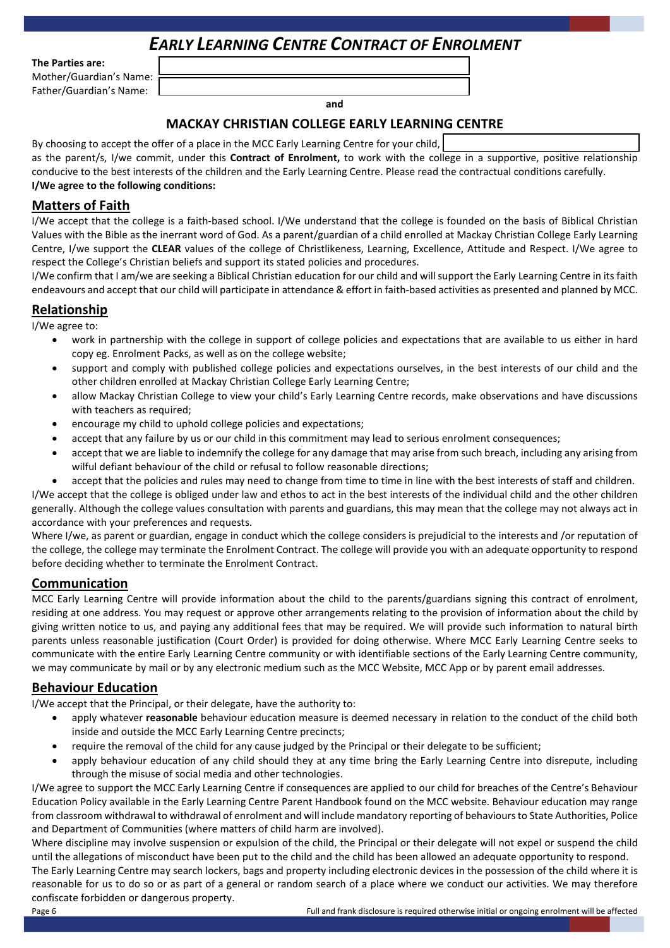# *EARLY LEARNING CENTRE CONTRACT OF ENROLMENT*

**The Parties are:**

Mother/Guardian's Name: Father/Guardian's Name:

**and**

# **MACKAY CHRISTIAN COLLEGE EARLY LEARNING CENTRE**

| By choosing to accept the offer of a place in the MCC Early Learning Centre for your child,                                             |
|-----------------------------------------------------------------------------------------------------------------------------------------|
| as the parent/s, I/we commit, under this <b>Contract of Enrolment</b> , to work with the college in a supportive, positive relationship |
| conducive to the best interests of the children and the Early Learning Centre. Please read the contractual conditions carefully.        |
| I/We agree to the following conditions:                                                                                                 |

# **Matters of Faith**

I/We accept that the college is a faith-based school. I/We understand that the college is founded on the basis of Biblical Christian Values with the Bible as the inerrant word of God. As a parent/guardian of a child enrolled at Mackay Christian College Early Learning Centre, I/we support the **CLEAR** values of the college of Christlikeness, Learning, Excellence, Attitude and Respect. I/We agree to respect the College's Christian beliefs and support its stated policies and procedures.

I/We confirm that I am/we are seeking a Biblical Christian education for our child and will support the Early Learning Centre in its faith endeavours and accept that our child will participate in attendance & effort in faith-based activities as presented and planned by MCC.

# **Relationship**

I/We agree to:

- work in partnership with the college in support of college policies and expectations that are available to us either in hard copy eg. Enrolment Packs, as well as on the college website;
- support and comply with published college policies and expectations ourselves, in the best interests of our child and the other children enrolled at Mackay Christian College Early Learning Centre;
- allow Mackay Christian College to view your child's Early Learning Centre records, make observations and have discussions with teachers as required;
- encourage my child to uphold college policies and expectations;
- accept that any failure by us or our child in this commitment may lead to serious enrolment consequences;
- accept that we are liable to indemnify the college for any damage that may arise from such breach, including any arising from wilful defiant behaviour of the child or refusal to follow reasonable directions;
- accept that the policies and rules may need to change from time to time in line with the best interests of staff and children.

I/We accept that the college is obliged under law and ethos to act in the best interests of the individual child and the other children generally. Although the college values consultation with parents and guardians, this may mean that the college may not always act in accordance with your preferences and requests.

Where I/we, as parent or guardian, engage in conduct which the college considers is prejudicial to the interests and /or reputation of the college, the college may terminate the Enrolment Contract. The college will provide you with an adequate opportunity to respond before deciding whether to terminate the Enrolment Contract.

# **Communication**

MCC Early Learning Centre will provide information about the child to the parents/guardians signing this contract of enrolment, residing at one address. You may request or approve other arrangements relating to the provision of information about the child by giving written notice to us, and paying any additional fees that may be required. We will provide such information to natural birth parents unless reasonable justification (Court Order) is provided for doing otherwise. Where MCC Early Learning Centre seeks to communicate with the entire Early Learning Centre community or with identifiable sections of the Early Learning Centre community, we may communicate by mail or by any electronic medium such as the MCC Website, MCC App or by parent email addresses.

# **Behaviour Education**

I/We accept that the Principal, or their delegate, have the authority to:

- apply whatever **reasonable** behaviour education measure is deemed necessary in relation to the conduct of the child both inside and outside the MCC Early Learning Centre precincts;
- require the removal of the child for any cause judged by the Principal or their delegate to be sufficient;
- apply behaviour education of any child should they at any time bring the Early Learning Centre into disrepute, including through the misuse of social media and other technologies.

I/We agree to support the MCC Early Learning Centre if consequences are applied to our child for breaches of the Centre's Behaviour Education Policy available in the Early Learning Centre Parent Handbook found on the MCC website. Behaviour education may range from classroom withdrawal to withdrawal of enrolment and will include mandatory reporting of behaviours to State Authorities, Police and Department of Communities (where matters of child harm are involved).

Where discipline may involve suspension or expulsion of the child, the Principal or their delegate will not expel or suspend the child until the allegations of misconduct have been put to the child and the child has been allowed an adequate opportunity to respond.

The Early Learning Centre may search lockers, bags and property including electronic devices in the possession of the child where it is reasonable for us to do so or as part of a general or random search of a place where we conduct our activities. We may therefore confiscate forbidden or dangerous property.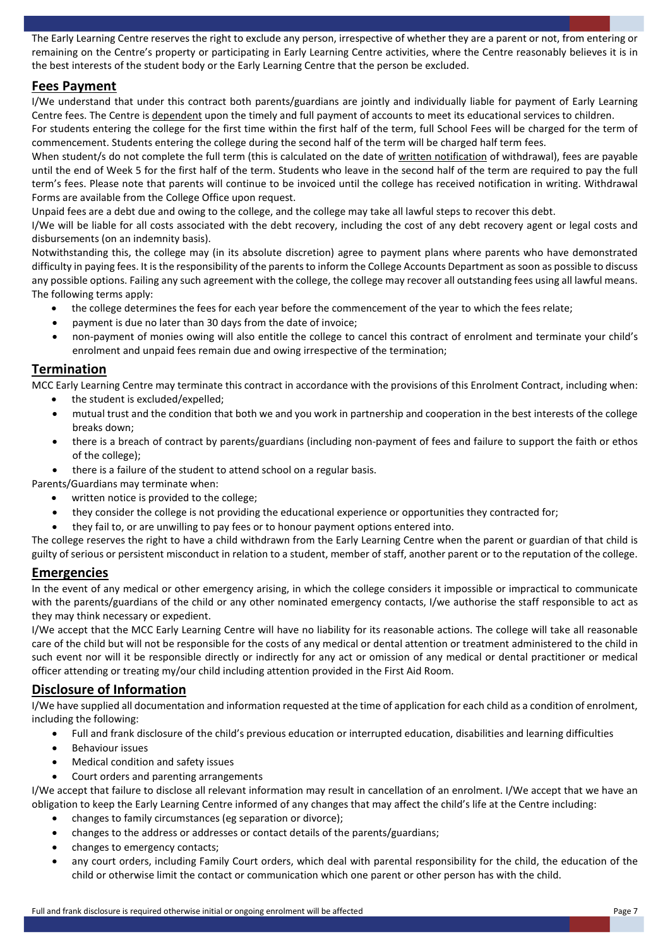The Early Learning Centre reserves the right to exclude any person, irrespective of whether they are a parent or not, from entering or remaining on the Centre's property or participating in Early Learning Centre activities, where the Centre reasonably believes it is in the best interests of the student body or the Early Learning Centre that the person be excluded.

# **Fees Payment**

I/We understand that under this contract both parents/guardians are jointly and individually liable for payment of Early Learning Centre fees. The Centre is dependent upon the timely and full payment of accounts to meet its educational services to children. For students entering the college for the first time within the first half of the term, full School Fees will be charged for the term of commencement. Students entering the college during the second half of the term will be charged half term fees.

When student/s do not complete the full term (this is calculated on the date of written notification of withdrawal), fees are payable until the end of Week 5 for the first half of the term. Students who leave in the second half of the term are required to pay the full term's fees. Please note that parents will continue to be invoiced until the college has received notification in writing. Withdrawal Forms are available from the College Office upon request.

Unpaid fees are a debt due and owing to the college, and the college may take all lawful steps to recover this debt.

I/We will be liable for all costs associated with the debt recovery, including the cost of any debt recovery agent or legal costs and disbursements (on an indemnity basis).

Notwithstanding this, the college may (in its absolute discretion) agree to payment plans where parents who have demonstrated difficulty in paying fees. It is the responsibility of the parents to inform the College Accounts Department as soon as possible to discuss any possible options. Failing any such agreement with the college, the college may recover all outstanding fees using all lawful means. The following terms apply:

- the college determines the fees for each year before the commencement of the year to which the fees relate;
- payment is due no later than 30 days from the date of invoice;
- non-payment of monies owing will also entitle the college to cancel this contract of enrolment and terminate your child's enrolment and unpaid fees remain due and owing irrespective of the termination;

# **Termination**

MCC Early Learning Centre may terminate this contract in accordance with the provisions of this Enrolment Contract, including when:

- the student is excluded/expelled;
- mutual trust and the condition that both we and you work in partnership and cooperation in the best interests of the college breaks down;
- there is a breach of contract by parents/guardians (including non-payment of fees and failure to support the faith or ethos of the college);
- there is a failure of the student to attend school on a regular basis.

Parents/Guardians may terminate when:

- written notice is provided to the college;
- they consider the college is not providing the educational experience or opportunities they contracted for:
- they fail to, or are unwilling to pay fees or to honour payment options entered into.

The college reserves the right to have a child withdrawn from the Early Learning Centre when the parent or guardian of that child is guilty of serious or persistent misconduct in relation to a student, member of staff, another parent or to the reputation of the college.

#### **Emergencies**

In the event of any medical or other emergency arising, in which the college considers it impossible or impractical to communicate with the parents/guardians of the child or any other nominated emergency contacts, I/we authorise the staff responsible to act as they may think necessary or expedient.

I/We accept that the MCC Early Learning Centre will have no liability for its reasonable actions. The college will take all reasonable care of the child but will not be responsible for the costs of any medical or dental attention or treatment administered to the child in such event nor will it be responsible directly or indirectly for any act or omission of any medical or dental practitioner or medical officer attending or treating my/our child including attention provided in the First Aid Room.

# **Disclosure of Information**

I/We have supplied all documentation and information requested at the time of application for each child as a condition of enrolment, including the following:

- Full and frank disclosure of the child's previous education or interrupted education, disabilities and learning difficulties
- Behaviour issues
- Medical condition and safety issues
- Court orders and parenting arrangements

I/We accept that failure to disclose all relevant information may result in cancellation of an enrolment. I/We accept that we have an obligation to keep the Early Learning Centre informed of any changes that may affect the child's life at the Centre including:

- changes to family circumstances (eg separation or divorce);
- changes to the address or addresses or contact details of the parents/guardians;
- changes to emergency contacts;
- any court orders, including Family Court orders, which deal with parental responsibility for the child, the education of the child or otherwise limit the contact or communication which one parent or other person has with the child.